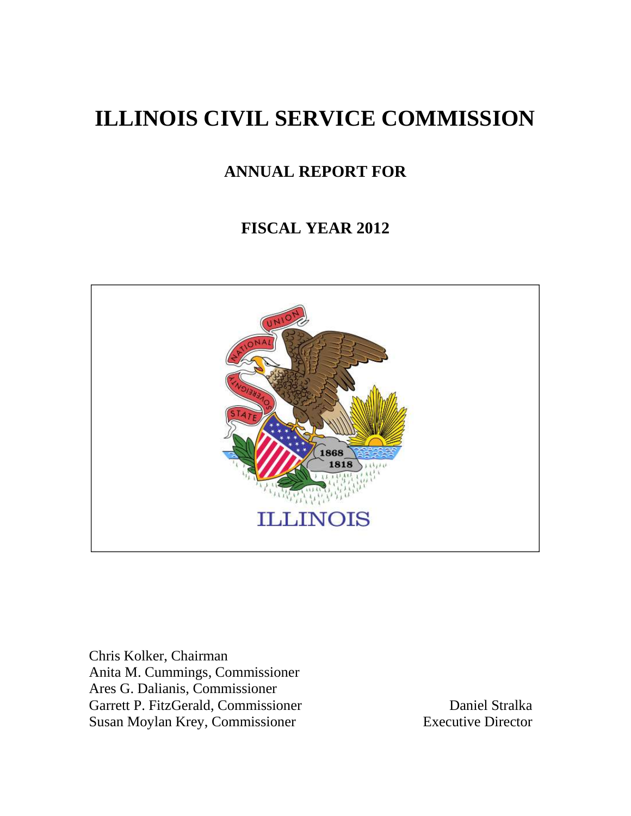# **ILLINOIS CIVIL SERVICE COMMISSION**

# **ANNUAL REPORT FOR**

# **FISCAL YEAR 2012**



Chris Kolker, Chairman Anita M. Cummings, Commissioner Ares G. Dalianis, Commissioner Garrett P. FitzGerald, Commissioner<br>
Susan Movlan Krev, Commissioner<br>
Executive Director Susan Moylan Krey, Commissioner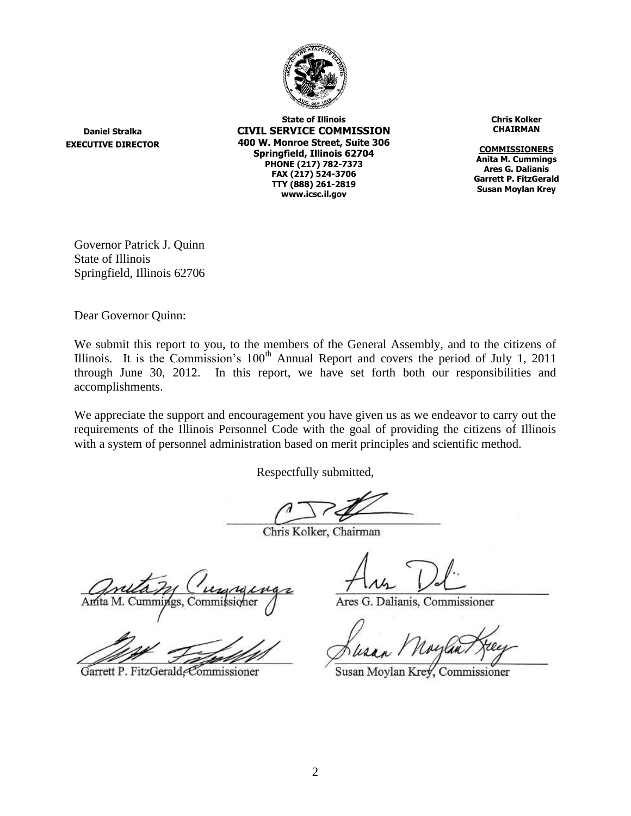

**Daniel Stralka EXECUTIVE DIRECTOR**

**State of Illinois CIVIL SERVICE COMMISSION 400 W. Monroe Street, Suite 306 Springfield, Illinois 62704 PHONE (217) 782-7373 FAX (217) 524-3706 TTY (888) 261-2819 www.icsc.il.gov**

**Chris Kolker CHAIRMAN**

**COMMISSIONERS Anita M. Cummings Ares G. Dalianis Garrett P. FitzGerald Susan Moylan Krey**

Governor Patrick J. Quinn State of Illinois Springfield, Illinois 62706

Dear Governor Quinn:

We submit this report to you, to the members of the General Assembly, and to the citizens of Illinois. It is the Commission's  $100<sup>th</sup>$  Annual Report and covers the period of July 1, 2011 through June 30, 2012. In this report, we have set forth both our responsibilities and accomplishments.

We appreciate the support and encouragement you have given us as we endeavor to carry out the requirements of the Illinois Personnel Code with the goal of providing the citizens of Illinois with a system of personnel administration based on merit principles and scientific method.

Respectfully submitted,

Chris Kolker, Chairman

Amita M. Cummings, Commi

Garrett P. FitzGerald, Commissioner

Ares G. Dalianis, Commissioner

Susan Moylan Krey, Commissioner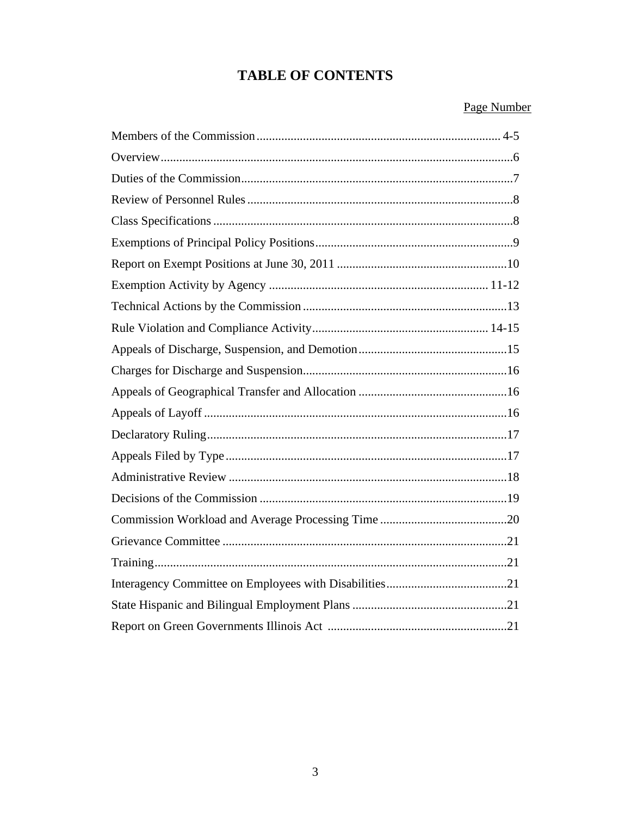# **TABLE OF CONTENTS**

# Page Number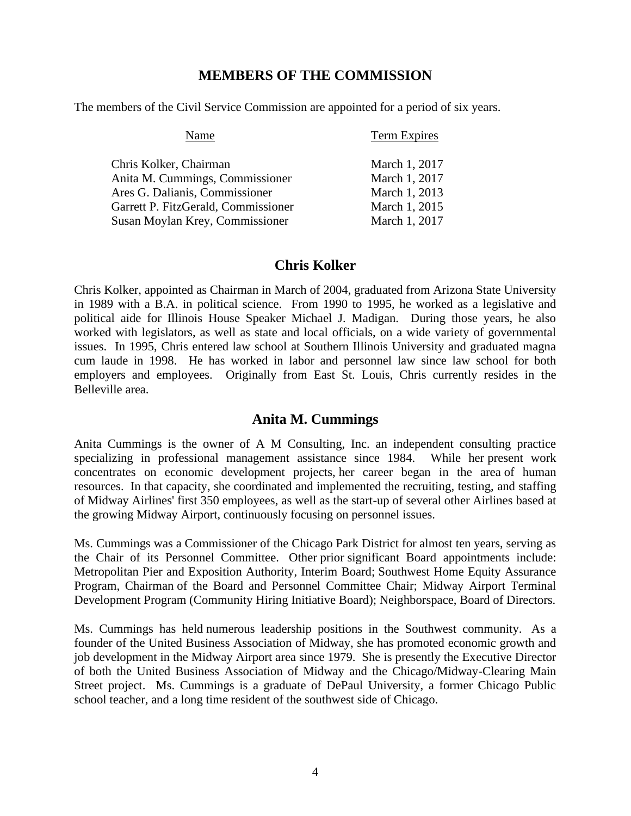#### **MEMBERS OF THE COMMISSION**

The members of the Civil Service Commission are appointed for a period of six years.

| Name                                | <b>Term Expires</b> |
|-------------------------------------|---------------------|
| Chris Kolker, Chairman              | March 1, 2017       |
| Anita M. Cummings, Commissioner     | March 1, 2017       |
| Ares G. Dalianis, Commissioner      | March 1, 2013       |
| Garrett P. FitzGerald, Commissioner | March 1, 2015       |
| Susan Moylan Krey, Commissioner     | March 1, 2017       |

#### **Chris Kolker**

Chris Kolker, appointed as Chairman in March of 2004, graduated from Arizona State University in 1989 with a B.A. in political science. From 1990 to 1995, he worked as a legislative and political aide for Illinois House Speaker Michael J. Madigan. During those years, he also worked with legislators, as well as state and local officials, on a wide variety of governmental issues. In 1995, Chris entered law school at Southern Illinois University and graduated magna cum laude in 1998. He has worked in labor and personnel law since law school for both employers and employees. Originally from East St. Louis, Chris currently resides in the Belleville area.

#### **Anita M. Cummings**

Anita Cummings is the owner of A M Consulting, Inc. an independent consulting practice specializing in professional management assistance since 1984. While her present work concentrates on economic development projects, her career began in the area of human resources. In that capacity, she coordinated and implemented the recruiting, testing, and staffing of Midway Airlines' first 350 employees, as well as the start-up of several other Airlines based at the growing Midway Airport, continuously focusing on personnel issues.

Ms. Cummings was a Commissioner of the Chicago Park District for almost ten years, serving as the Chair of its Personnel Committee. Other prior significant Board appointments include: Metropolitan Pier and Exposition Authority, Interim Board; Southwest Home Equity Assurance Program, Chairman of the Board and Personnel Committee Chair; Midway Airport Terminal Development Program (Community Hiring Initiative Board); Neighborspace, Board of Directors.

Ms. Cummings has held numerous leadership positions in the Southwest community. As a founder of the United Business Association of Midway, she has promoted economic growth and job development in the Midway Airport area since 1979. She is presently the Executive Director of both the United Business Association of Midway and the Chicago/Midway-Clearing Main Street project. Ms. Cummings is a graduate of DePaul University, a former Chicago Public school teacher, and a long time resident of the southwest side of Chicago.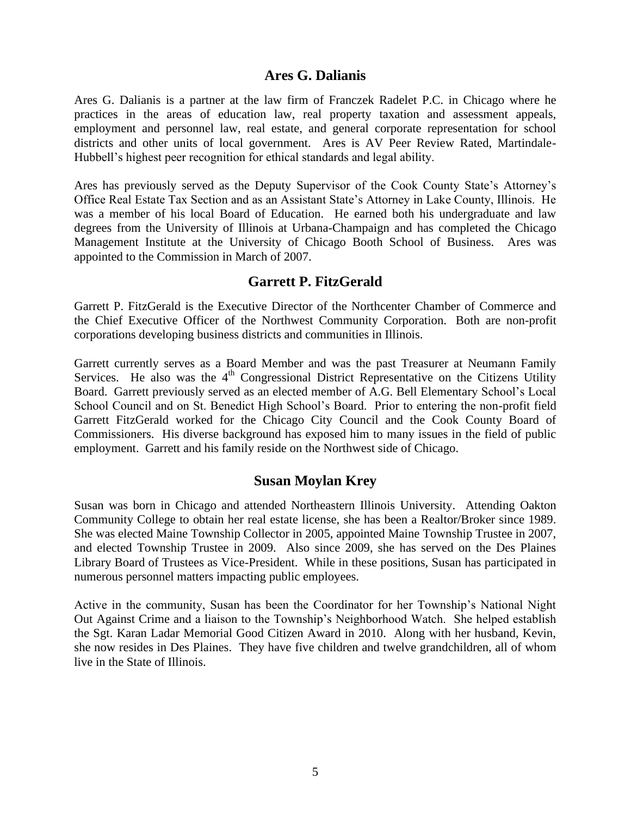#### **Ares G. Dalianis**

Ares G. Dalianis is a partner at the law firm of Franczek Radelet P.C. in Chicago where he practices in the areas of education law, real property taxation and assessment appeals, employment and personnel law, real estate, and general corporate representation for school districts and other units of local government. Ares is AV Peer Review Rated, Martindale-Hubbell's highest peer recognition for ethical standards and legal ability.

Ares has previously served as the Deputy Supervisor of the Cook County State's Attorney's Office Real Estate Tax Section and as an Assistant State's Attorney in Lake County, Illinois. He was a member of his local Board of Education. He earned both his undergraduate and law degrees from the University of Illinois at Urbana-Champaign and has completed the Chicago Management Institute at the University of Chicago Booth School of Business. Ares was appointed to the Commission in March of 2007.

#### **Garrett P. FitzGerald**

Garrett P. FitzGerald is the Executive Director of the Northcenter Chamber of Commerce and the Chief Executive Officer of the Northwest Community Corporation. Both are non-profit corporations developing business districts and communities in Illinois.

Garrett currently serves as a Board Member and was the past Treasurer at Neumann Family Services. He also was the  $4<sup>th</sup>$  Congressional District Representative on the Citizens Utility Board. Garrett previously served as an elected member of A.G. Bell Elementary School's Local School Council and on St. Benedict High School's Board. Prior to entering the non-profit field Garrett FitzGerald worked for the Chicago City Council and the Cook County Board of Commissioners. His diverse background has exposed him to many issues in the field of public employment. Garrett and his family reside on the Northwest side of Chicago.

#### **Susan Moylan Krey**

Susan was born in Chicago and attended Northeastern Illinois University. Attending Oakton Community College to obtain her real estate license, she has been a Realtor/Broker since 1989. She was elected Maine Township Collector in 2005, appointed Maine Township Trustee in 2007, and elected Township Trustee in 2009. Also since 2009, she has served on the Des Plaines Library Board of Trustees as Vice-President. While in these positions, Susan has participated in numerous personnel matters impacting public employees.

Active in the community, Susan has been the Coordinator for her Township's National Night Out Against Crime and a liaison to the Township's Neighborhood Watch. She helped establish the Sgt. Karan Ladar Memorial Good Citizen Award in 2010. Along with her husband, Kevin, she now resides in Des Plaines. They have five children and twelve grandchildren, all of whom live in the State of Illinois.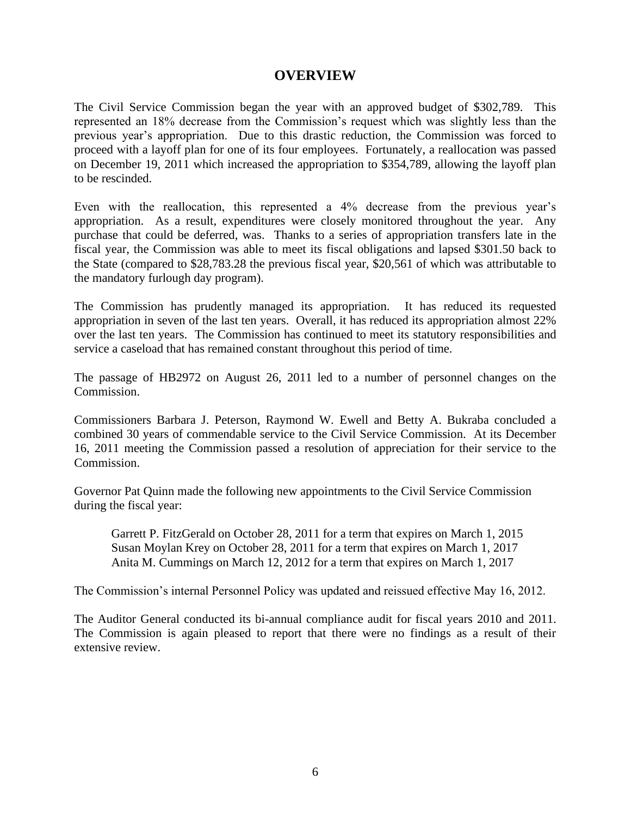#### **OVERVIEW**

The Civil Service Commission began the year with an approved budget of \$302,789. This represented an 18% decrease from the Commission's request which was slightly less than the previous year's appropriation. Due to this drastic reduction, the Commission was forced to proceed with a layoff plan for one of its four employees. Fortunately, a reallocation was passed on December 19, 2011 which increased the appropriation to \$354,789, allowing the layoff plan to be rescinded.

Even with the reallocation, this represented a 4% decrease from the previous year's appropriation. As a result, expenditures were closely monitored throughout the year. Any purchase that could be deferred, was. Thanks to a series of appropriation transfers late in the fiscal year, the Commission was able to meet its fiscal obligations and lapsed \$301.50 back to the State (compared to \$28,783.28 the previous fiscal year, \$20,561 of which was attributable to the mandatory furlough day program).

The Commission has prudently managed its appropriation. It has reduced its requested appropriation in seven of the last ten years. Overall, it has reduced its appropriation almost 22% over the last ten years. The Commission has continued to meet its statutory responsibilities and service a caseload that has remained constant throughout this period of time.

The passage of HB2972 on August 26, 2011 led to a number of personnel changes on the Commission.

Commissioners Barbara J. Peterson, Raymond W. Ewell and Betty A. Bukraba concluded a combined 30 years of commendable service to the Civil Service Commission. At its December 16, 2011 meeting the Commission passed a resolution of appreciation for their service to the Commission.

Governor Pat Quinn made the following new appointments to the Civil Service Commission during the fiscal year:

Garrett P. FitzGerald on October 28, 2011 for a term that expires on March 1, 2015 Susan Moylan Krey on October 28, 2011 for a term that expires on March 1, 2017 Anita M. Cummings on March 12, 2012 for a term that expires on March 1, 2017

The Commission's internal Personnel Policy was updated and reissued effective May 16, 2012.

The Auditor General conducted its bi-annual compliance audit for fiscal years 2010 and 2011. The Commission is again pleased to report that there were no findings as a result of their extensive review.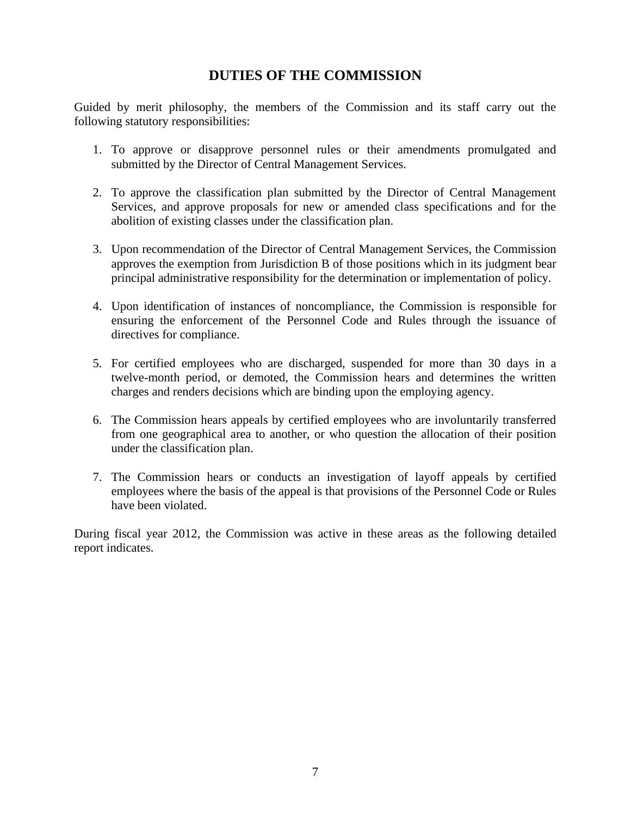# **DUTIES OF THE COMMISSION**

Guided by merit philosophy, the members of the Commission and its staff carry out the following statutory responsibilities:

- 1. To approve or disapprove personnel rules or their amendments promulgated and submitted by the Director of Central Management Services.
- 2. To approve the classification plan submitted by the Director of Central Management Services, and approve proposals for new or amended class specifications and for the abolition of existing classes under the classification plan.
- 3. Upon recommendation of the Director of Central Management Services, the Commission approves the exemption from Jurisdiction B of those positions which in its judgment bear principal administrative responsibility for the determination or implementation of policy.
- 4. Upon identification of instances of noncompliance, the Commission is responsible for ensuring the enforcement of the Personnel Code and Rules through the issuance of directives for compliance.
- 5. For certified employees who are discharged, suspended for more than 30 days in a twelve-month period, or demoted, the Commission hears and determines the written charges and renders decisions which are binding upon the employing agency.
- 6. The Commission hears appeals by certified employees who are involuntarily transferred from one geographical area to another, or who question the allocation of their position under the classification plan.
- 7. The Commission hears or conducts an investigation of layoff appeals by certified employees where the basis of the appeal is that provisions of the Personnel Code or Rules have been violated.

During fiscal year 2012, the Commission was active in these areas as the following detailed report indicates.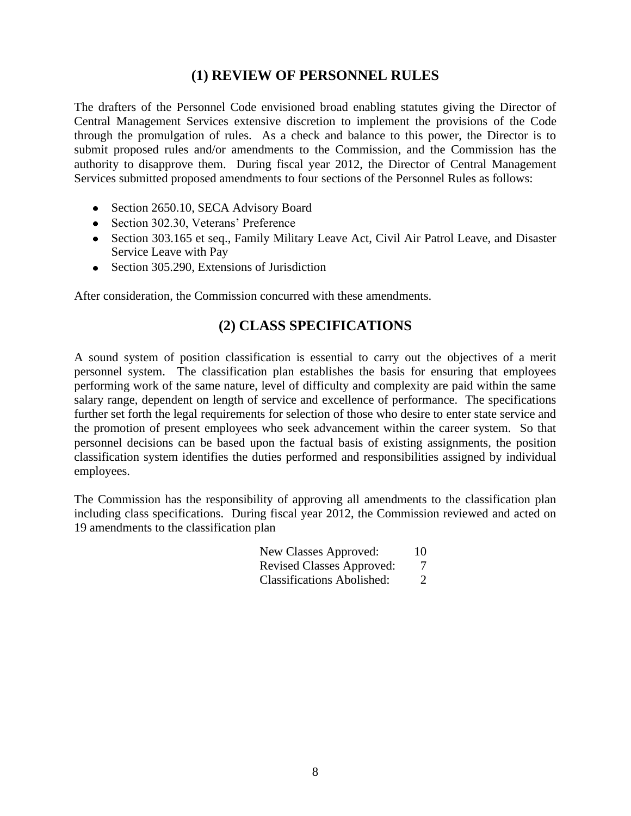### **(1) REVIEW OF PERSONNEL RULES**

The drafters of the Personnel Code envisioned broad enabling statutes giving the Director of Central Management Services extensive discretion to implement the provisions of the Code through the promulgation of rules. As a check and balance to this power, the Director is to submit proposed rules and/or amendments to the Commission, and the Commission has the authority to disapprove them. During fiscal year 2012, the Director of Central Management Services submitted proposed amendments to four sections of the Personnel Rules as follows:

- Section 2650.10, SECA Advisory Board
- Section 302.30, Veterans' Preference
- Section 303.165 et seq., Family Military Leave Act, Civil Air Patrol Leave, and Disaster Service Leave with Pay
- Section 305.290, Extensions of Jurisdiction

After consideration, the Commission concurred with these amendments.

# **(2) CLASS SPECIFICATIONS**

A sound system of position classification is essential to carry out the objectives of a merit personnel system. The classification plan establishes the basis for ensuring that employees performing work of the same nature, level of difficulty and complexity are paid within the same salary range, dependent on length of service and excellence of performance. The specifications further set forth the legal requirements for selection of those who desire to enter state service and the promotion of present employees who seek advancement within the career system. So that personnel decisions can be based upon the factual basis of existing assignments, the position classification system identifies the duties performed and responsibilities assigned by individual employees.

The Commission has the responsibility of approving all amendments to the classification plan including class specifications. During fiscal year 2012, the Commission reviewed and acted on 19 amendments to the classification plan

|  |  | <b>Revised Classes Approved:</b> |  |
|--|--|----------------------------------|--|
|--|--|----------------------------------|--|

Classifications Abolished: 2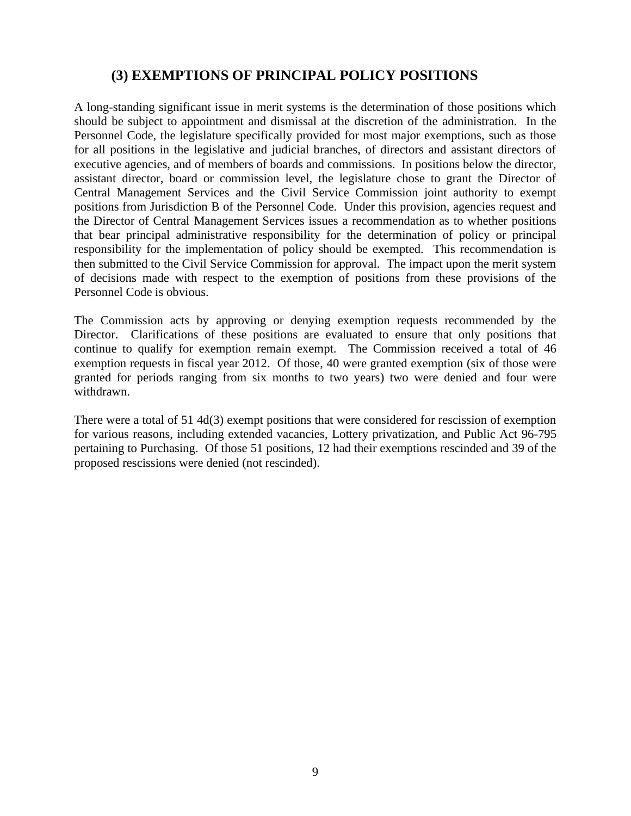# **(3) EXEMPTIONS OF PRINCIPAL POLICY POSITIONS**

A long-standing significant issue in merit systems is the determination of those positions which should be subject to appointment and dismissal at the discretion of the administration. In the Personnel Code, the legislature specifically provided for most major exemptions, such as those for all positions in the legislative and judicial branches, of directors and assistant directors of executive agencies, and of members of boards and commissions. In positions below the director, assistant director, board or commission level, the legislature chose to grant the Director of Central Management Services and the Civil Service Commission joint authority to exempt positions from Jurisdiction B of the Personnel Code. Under this provision, agencies request and the Director of Central Management Services issues a recommendation as to whether positions that bear principal administrative responsibility for the determination of policy or principal responsibility for the implementation of policy should be exempted. This recommendation is then submitted to the Civil Service Commission for approval. The impact upon the merit system of decisions made with respect to the exemption of positions from these provisions of the Personnel Code is obvious.

The Commission acts by approving or denying exemption requests recommended by the Director. Clarifications of these positions are evaluated to ensure that only positions that continue to qualify for exemption remain exempt. The Commission received a total of 46 exemption requests in fiscal year 2012. Of those, 40 were granted exemption (six of those were granted for periods ranging from six months to two years) two were denied and four were withdrawn.

There were a total of 51 4d(3) exempt positions that were considered for rescission of exemption for various reasons, including extended vacancies, Lottery privatization, and Public Act 96-795 pertaining to Purchasing. Of those 51 positions, 12 had their exemptions rescinded and 39 of the proposed rescissions were denied (not rescinded).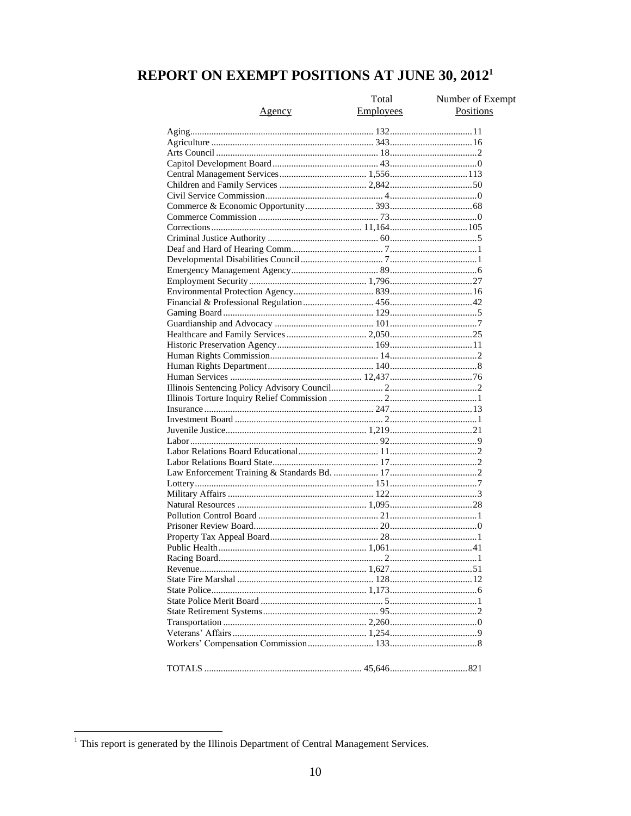# REPORT ON EXEMPT POSITIONS AT JUNE 30, 2012<sup>1</sup>

|               | Total     | Number of Exempt |
|---------------|-----------|------------------|
| <u>Agency</u> | Employees | Positions        |
|               |           |                  |
|               |           |                  |
|               |           |                  |
|               |           |                  |
|               |           |                  |
|               |           |                  |
|               |           |                  |
|               |           |                  |
|               |           |                  |
|               |           |                  |
|               |           |                  |
|               |           |                  |
|               |           |                  |
|               |           |                  |
|               |           |                  |
|               |           |                  |
|               |           |                  |
|               |           |                  |
|               |           |                  |
|               |           |                  |
|               |           |                  |
|               |           |                  |
|               |           |                  |
|               |           |                  |
|               |           |                  |
|               |           |                  |
|               |           |                  |
|               |           |                  |
|               |           |                  |
|               |           |                  |
|               |           |                  |
|               |           |                  |
|               |           |                  |
|               |           |                  |
|               |           |                  |
|               |           |                  |
|               |           |                  |
|               |           |                  |
|               |           |                  |
|               |           |                  |
|               |           |                  |
|               |           |                  |
|               |           |                  |
|               |           |                  |
|               |           |                  |
|               |           |                  |
|               |           |                  |
|               |           |                  |
|               |           |                  |
|               |           |                  |
|               |           |                  |
|               |           |                  |
|               |           |                  |

<sup>&</sup>lt;sup>1</sup> This report is generated by the Illinois Department of Central Management Services.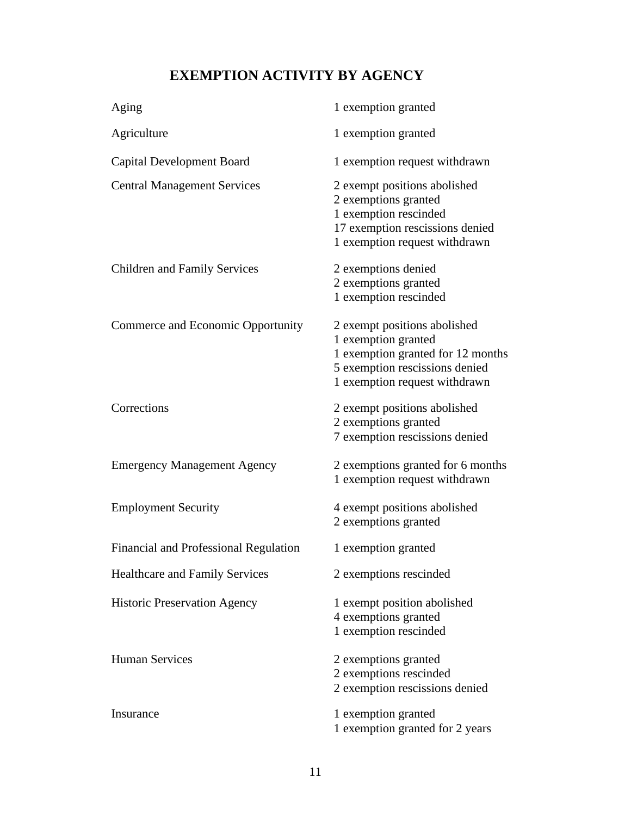# **EXEMPTION ACTIVITY BY AGENCY**

| Aging                                 | 1 exemption granted                                                                                                                                         |
|---------------------------------------|-------------------------------------------------------------------------------------------------------------------------------------------------------------|
| Agriculture                           | 1 exemption granted                                                                                                                                         |
| <b>Capital Development Board</b>      | 1 exemption request withdrawn                                                                                                                               |
| <b>Central Management Services</b>    | 2 exempt positions abolished<br>2 exemptions granted<br>1 exemption rescinded<br>17 exemption rescissions denied<br>1 exemption request withdrawn           |
| <b>Children and Family Services</b>   | 2 exemptions denied<br>2 exemptions granted<br>1 exemption rescinded                                                                                        |
| Commerce and Economic Opportunity     | 2 exempt positions abolished<br>1 exemption granted<br>1 exemption granted for 12 months<br>5 exemption rescissions denied<br>1 exemption request withdrawn |
| Corrections                           | 2 exempt positions abolished<br>2 exemptions granted<br>7 exemption rescissions denied                                                                      |
| <b>Emergency Management Agency</b>    | 2 exemptions granted for 6 months<br>1 exemption request withdrawn                                                                                          |
| <b>Employment Security</b>            | 4 exempt positions abolished<br>2 exemptions granted                                                                                                        |
| Financial and Professional Regulation | 1 exemption granted                                                                                                                                         |
| <b>Healthcare and Family Services</b> | 2 exemptions rescinded                                                                                                                                      |
| <b>Historic Preservation Agency</b>   | 1 exempt position abolished<br>4 exemptions granted<br>1 exemption rescinded                                                                                |
| <b>Human Services</b>                 | 2 exemptions granted<br>2 exemptions rescinded<br>2 exemption rescissions denied                                                                            |
| Insurance                             | 1 exemption granted<br>1 exemption granted for 2 years                                                                                                      |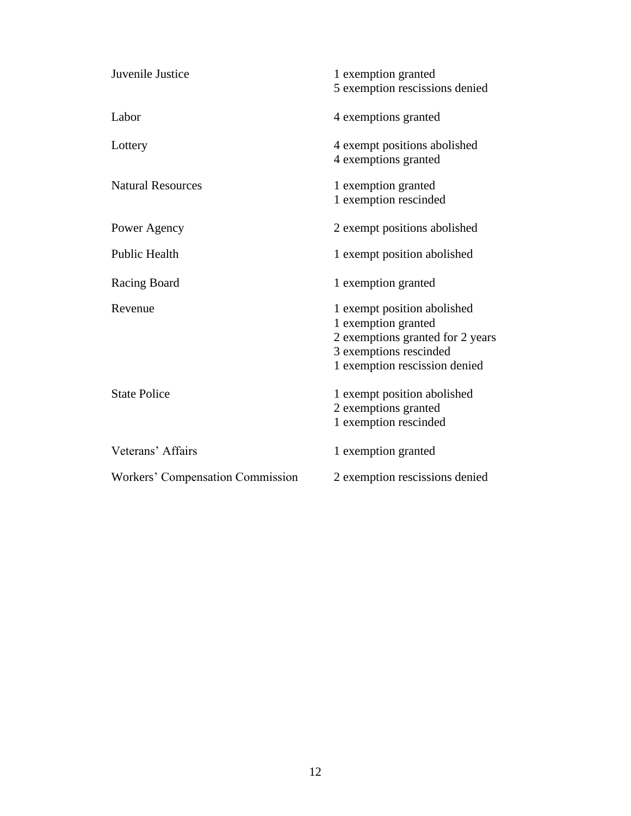| Juvenile Justice                 | 1 exemption granted<br>5 exemption rescissions denied                                                                                             |
|----------------------------------|---------------------------------------------------------------------------------------------------------------------------------------------------|
| Labor                            | 4 exemptions granted                                                                                                                              |
| Lottery                          | 4 exempt positions abolished<br>4 exemptions granted                                                                                              |
| <b>Natural Resources</b>         | 1 exemption granted<br>1 exemption rescinded                                                                                                      |
| Power Agency                     | 2 exempt positions abolished                                                                                                                      |
| <b>Public Health</b>             | 1 exempt position abolished                                                                                                                       |
| Racing Board                     | 1 exemption granted                                                                                                                               |
| Revenue                          | 1 exempt position abolished<br>1 exemption granted<br>2 exemptions granted for 2 years<br>3 exemptions rescinded<br>1 exemption rescission denied |
| <b>State Police</b>              | 1 exempt position abolished<br>2 exemptions granted<br>1 exemption rescinded                                                                      |
| Veterans' Affairs                | 1 exemption granted                                                                                                                               |
| Workers' Compensation Commission | 2 exemption rescissions denied                                                                                                                    |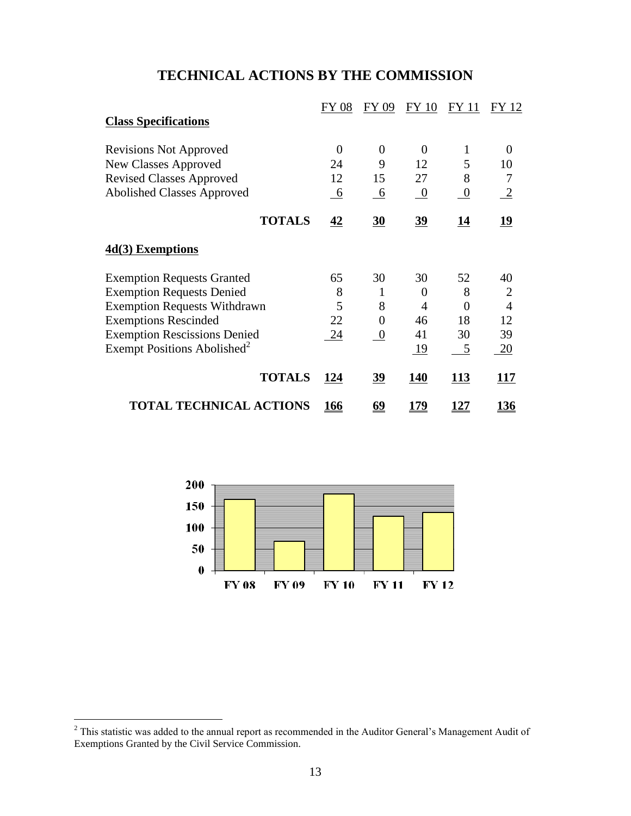# **TECHNICAL ACTIONS BY THE COMMISSION**

|                                         | FY 08       | FY 09           | <b>FY 10</b>   | <b>FY 11</b>     | FY 12          |
|-----------------------------------------|-------------|-----------------|----------------|------------------|----------------|
| <b>Class Specifications</b>             |             |                 |                |                  |                |
| <b>Revisions Not Approved</b>           | 0           | $\theta$        | 0              | 1                | $\theta$       |
| New Classes Approved                    | 24          | 9               | 12             | 5                | 10             |
| <b>Revised Classes Approved</b>         | 12          | 15              | 27             | 8                | 7              |
| <b>Abolished Classes Approved</b>       | 6           | $\underline{6}$ | $\overline{0}$ | $\boldsymbol{0}$ | $\frac{2}{2}$  |
| <b>TOTALS</b>                           | 42          | 30              | $\frac{39}{2}$ | 14               | 19             |
| 4d(3) Exemptions                        |             |                 |                |                  |                |
| <b>Exemption Requests Granted</b>       | 65          | 30              | 30             | 52               | 40             |
| <b>Exemption Requests Denied</b>        | 8           | 1               | $\Omega$       | 8                | $\overline{2}$ |
| <b>Exemption Requests Withdrawn</b>     | 5           | 8               | 4              | $\theta$         | $\overline{4}$ |
| <b>Exemptions Rescinded</b>             | 22          | $\theta$        | 46             | 18               | 12             |
| <b>Exemption Rescissions Denied</b>     | 24          | $\overline{0}$  | 41             | 30               | 39             |
| Exempt Positions Abolished <sup>2</sup> |             |                 | <u>19</u>      | $\overline{5}$   | 20             |
| <b>TOTALS</b>                           | 124         | <u>39</u>       | <b>140</b>     | 113              | 117            |
| <b>TOTAL TECHNICAL ACTIONS</b>          | <u> 166</u> | <u>69</u>       | 179            | <u> 127</u>      | 136            |



 $\overline{a}$ 

 $2$  This statistic was added to the annual report as recommended in the Auditor General's Management Audit of Exemptions Granted by the Civil Service Commission.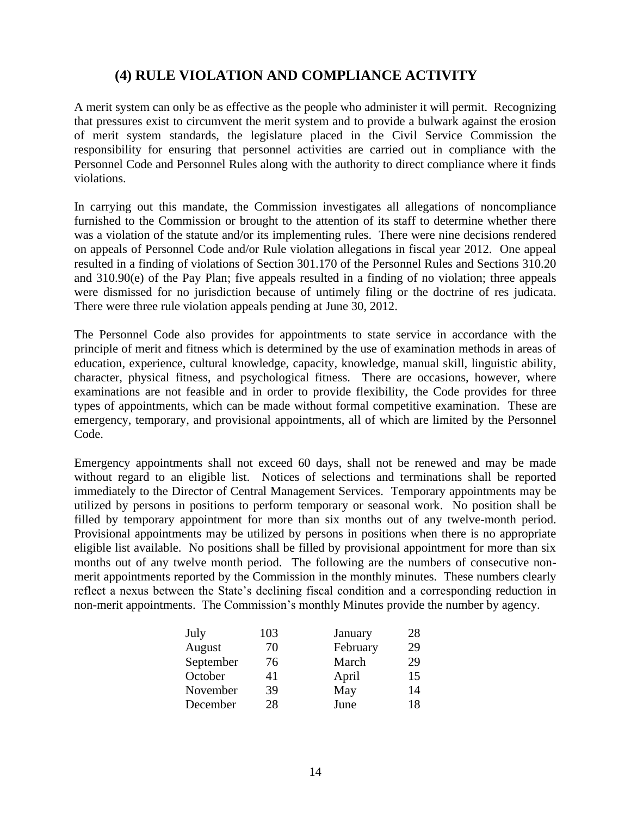# **(4) RULE VIOLATION AND COMPLIANCE ACTIVITY**

A merit system can only be as effective as the people who administer it will permit. Recognizing that pressures exist to circumvent the merit system and to provide a bulwark against the erosion of merit system standards, the legislature placed in the Civil Service Commission the responsibility for ensuring that personnel activities are carried out in compliance with the Personnel Code and Personnel Rules along with the authority to direct compliance where it finds violations.

In carrying out this mandate, the Commission investigates all allegations of noncompliance furnished to the Commission or brought to the attention of its staff to determine whether there was a violation of the statute and/or its implementing rules. There were nine decisions rendered on appeals of Personnel Code and/or Rule violation allegations in fiscal year 2012. One appeal resulted in a finding of violations of Section 301.170 of the Personnel Rules and Sections 310.20 and 310.90(e) of the Pay Plan; five appeals resulted in a finding of no violation; three appeals were dismissed for no jurisdiction because of untimely filing or the doctrine of res judicata. There were three rule violation appeals pending at June 30, 2012.

The Personnel Code also provides for appointments to state service in accordance with the principle of merit and fitness which is determined by the use of examination methods in areas of education, experience, cultural knowledge, capacity, knowledge, manual skill, linguistic ability, character, physical fitness, and psychological fitness. There are occasions, however, where examinations are not feasible and in order to provide flexibility, the Code provides for three types of appointments, which can be made without formal competitive examination. These are emergency, temporary, and provisional appointments, all of which are limited by the Personnel Code.

Emergency appointments shall not exceed 60 days, shall not be renewed and may be made without regard to an eligible list. Notices of selections and terminations shall be reported immediately to the Director of Central Management Services. Temporary appointments may be utilized by persons in positions to perform temporary or seasonal work. No position shall be filled by temporary appointment for more than six months out of any twelve-month period. Provisional appointments may be utilized by persons in positions when there is no appropriate eligible list available. No positions shall be filled by provisional appointment for more than six months out of any twelve month period. The following are the numbers of consecutive nonmerit appointments reported by the Commission in the monthly minutes. These numbers clearly reflect a nexus between the State's declining fiscal condition and a corresponding reduction in non-merit appointments. The Commission's monthly Minutes provide the number by agency.

| July      | 103 | January  | 28 |
|-----------|-----|----------|----|
| August    | 70  | February | 29 |
| September | 76  | March    | 29 |
| October   | 41  | April    | 15 |
| November  | 39  | May      | 14 |
| December  | 28  | June     | 18 |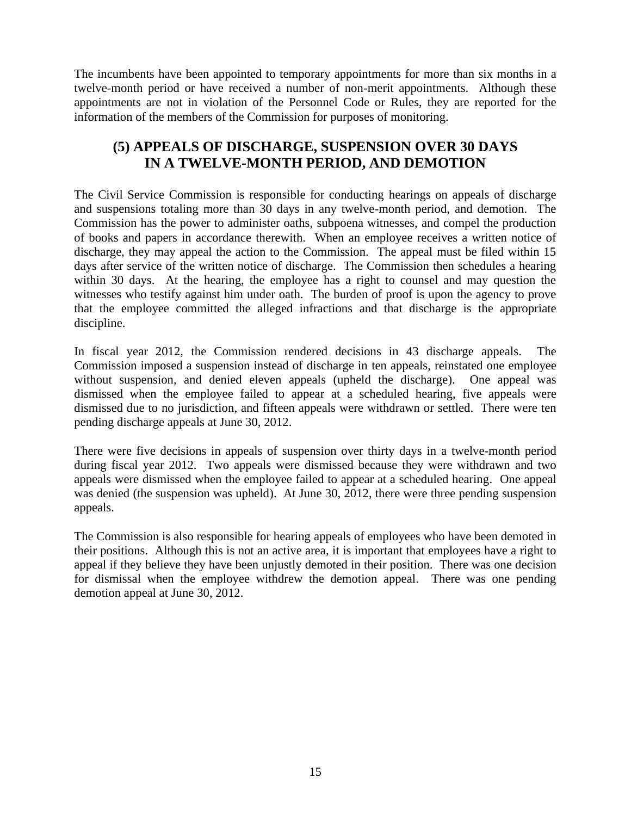The incumbents have been appointed to temporary appointments for more than six months in a twelve-month period or have received a number of non-merit appointments. Although these appointments are not in violation of the Personnel Code or Rules, they are reported for the information of the members of the Commission for purposes of monitoring.

# **(5) APPEALS OF DISCHARGE, SUSPENSION OVER 30 DAYS IN A TWELVE-MONTH PERIOD, AND DEMOTION**

The Civil Service Commission is responsible for conducting hearings on appeals of discharge and suspensions totaling more than 30 days in any twelve-month period, and demotion. The Commission has the power to administer oaths, subpoena witnesses, and compel the production of books and papers in accordance therewith. When an employee receives a written notice of discharge, they may appeal the action to the Commission. The appeal must be filed within 15 days after service of the written notice of discharge. The Commission then schedules a hearing within 30 days. At the hearing, the employee has a right to counsel and may question the witnesses who testify against him under oath. The burden of proof is upon the agency to prove that the employee committed the alleged infractions and that discharge is the appropriate discipline.

In fiscal year 2012, the Commission rendered decisions in 43 discharge appeals. The Commission imposed a suspension instead of discharge in ten appeals, reinstated one employee without suspension, and denied eleven appeals (upheld the discharge). One appeal was dismissed when the employee failed to appear at a scheduled hearing, five appeals were dismissed due to no jurisdiction, and fifteen appeals were withdrawn or settled. There were ten pending discharge appeals at June 30, 2012.

There were five decisions in appeals of suspension over thirty days in a twelve-month period during fiscal year 2012. Two appeals were dismissed because they were withdrawn and two appeals were dismissed when the employee failed to appear at a scheduled hearing. One appeal was denied (the suspension was upheld). At June 30, 2012, there were three pending suspension appeals.

The Commission is also responsible for hearing appeals of employees who have been demoted in their positions. Although this is not an active area, it is important that employees have a right to appeal if they believe they have been unjustly demoted in their position. There was one decision for dismissal when the employee withdrew the demotion appeal. There was one pending demotion appeal at June 30, 2012.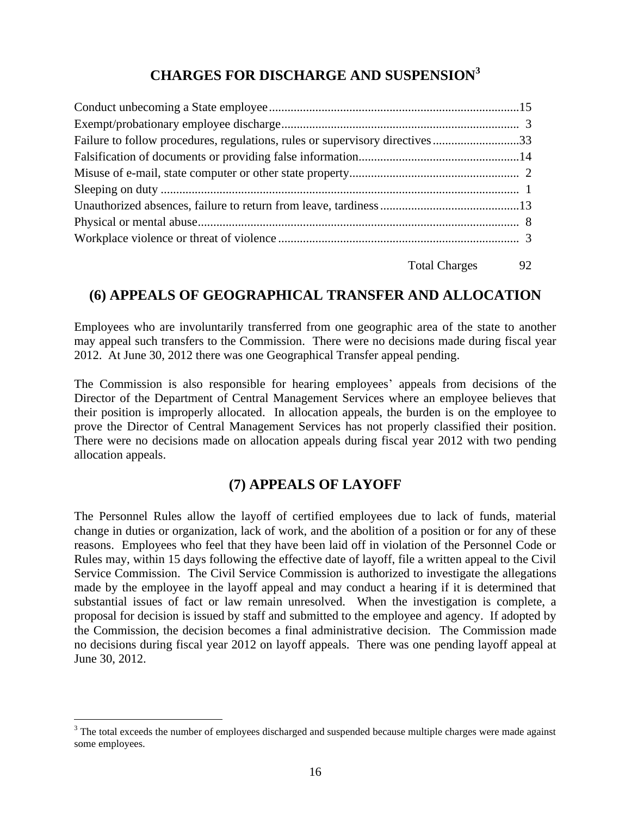# **CHARGES FOR DISCHARGE AND SUSPENSION<sup>3</sup>**

| Failure to follow procedures, regulations, rules or supervisory directives33 |  |
|------------------------------------------------------------------------------|--|
|                                                                              |  |
|                                                                              |  |
|                                                                              |  |
|                                                                              |  |
|                                                                              |  |
|                                                                              |  |
| Total Charges 92                                                             |  |

# **(6) APPEALS OF GEOGRAPHICAL TRANSFER AND ALLOCATION**

Employees who are involuntarily transferred from one geographic area of the state to another may appeal such transfers to the Commission. There were no decisions made during fiscal year 2012. At June 30, 2012 there was one Geographical Transfer appeal pending.

The Commission is also responsible for hearing employees' appeals from decisions of the Director of the Department of Central Management Services where an employee believes that their position is improperly allocated. In allocation appeals, the burden is on the employee to prove the Director of Central Management Services has not properly classified their position. There were no decisions made on allocation appeals during fiscal year 2012 with two pending allocation appeals.

# **(7) APPEALS OF LAYOFF**

The Personnel Rules allow the layoff of certified employees due to lack of funds, material change in duties or organization, lack of work, and the abolition of a position or for any of these reasons. Employees who feel that they have been laid off in violation of the Personnel Code or Rules may, within 15 days following the effective date of layoff, file a written appeal to the Civil Service Commission. The Civil Service Commission is authorized to investigate the allegations made by the employee in the layoff appeal and may conduct a hearing if it is determined that substantial issues of fact or law remain unresolved. When the investigation is complete, a proposal for decision is issued by staff and submitted to the employee and agency. If adopted by the Commission, the decision becomes a final administrative decision. The Commission made no decisions during fiscal year 2012 on layoff appeals. There was one pending layoff appeal at June 30, 2012.

 $\overline{a}$ 

<sup>&</sup>lt;sup>3</sup> The total exceeds the number of employees discharged and suspended because multiple charges were made against some employees.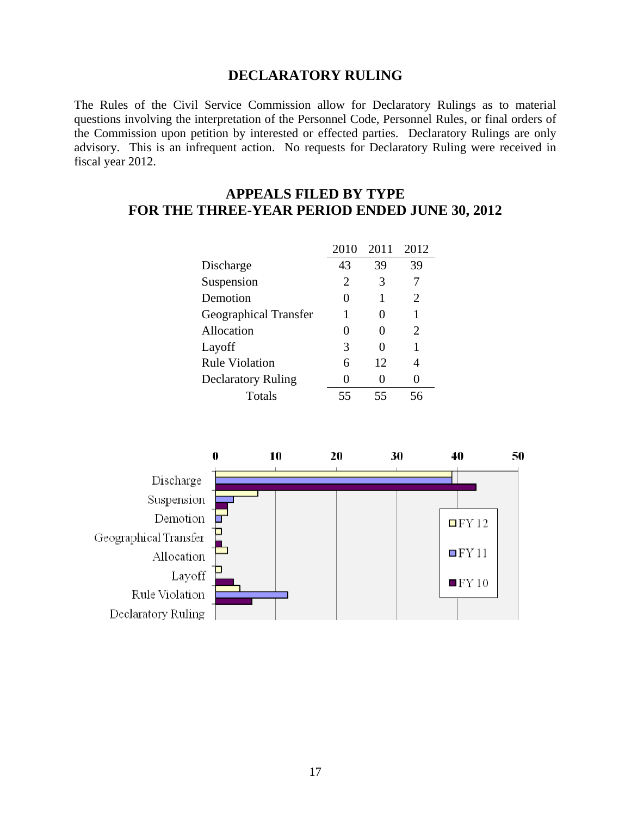#### **DECLARATORY RULING**

The Rules of the Civil Service Commission allow for Declaratory Rulings as to material questions involving the interpretation of the Personnel Code, Personnel Rules, or final orders of the Commission upon petition by interested or effected parties. Declaratory Rulings are only advisory. This is an infrequent action. No requests for Declaratory Ruling were received in fiscal year 2012.

# **APPEALS FILED BY TYPE FOR THE THREE-YEAR PERIOD ENDED JUNE 30, 2012**

|                              | 2010         | 2011              | 2012 |
|------------------------------|--------------|-------------------|------|
| Discharge                    | 43           | 39                | 39   |
| Suspension                   | 2            | 3                 |      |
| Demotion                     | $\mathbf{0}$ |                   | 2    |
| <b>Geographical Transfer</b> | 1            | $\mathbf{\Omega}$ |      |
| Allocation                   | 0            | 0                 | 2    |
| Layoff                       | 3            |                   |      |
| <b>Rule Violation</b>        | 6            | 12                |      |
| <b>Declaratory Ruling</b>    | 0            |                   |      |
| Totals                       | 55           | 55                |      |

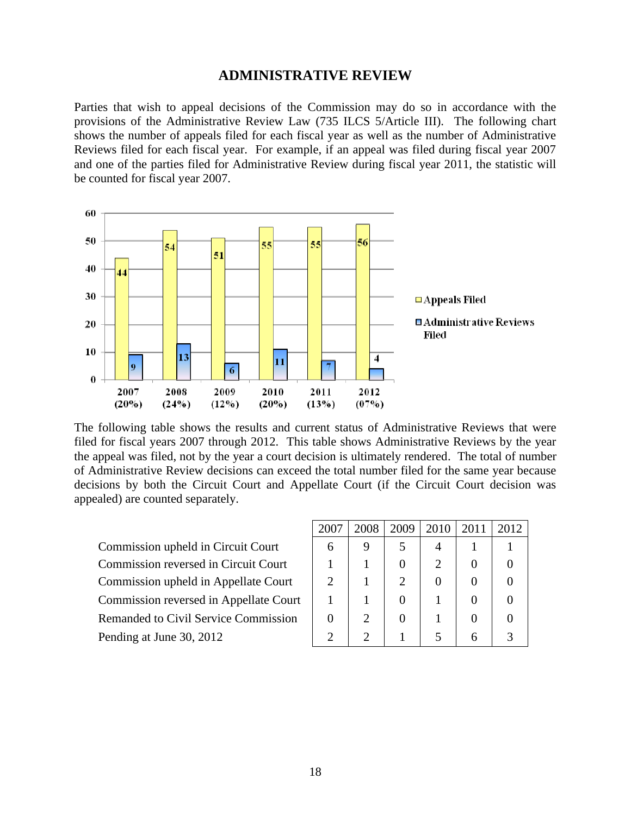#### **ADMINISTRATIVE REVIEW**

Parties that wish to appeal decisions of the Commission may do so in accordance with the provisions of the Administrative Review Law (735 ILCS 5/Article III). The following chart shows the number of appeals filed for each fiscal year as well as the number of Administrative Reviews filed for each fiscal year. For example, if an appeal was filed during fiscal year 2007 and one of the parties filed for Administrative Review during fiscal year 2011, the statistic will be counted for fiscal year 2007.



The following table shows the results and current status of Administrative Reviews that were filed for fiscal years 2007 through 2012. This table shows Administrative Reviews by the year the appeal was filed, not by the year a court decision is ultimately rendered. The total of number of Administrative Review decisions can exceed the total number filed for the same year because decisions by both the Circuit Court and Appellate Court (if the Circuit Court decision was appealed) are counted separately.

Commission upheld in Circuit Court Commission reversed in Circuit Court Commission upheld in Appellate Court Commission reversed in Appellate Court Remanded to Civil Service Commission Pending at June 30, 2012

| 2007                        | 2008           | 2009<br>$\perp$ | 2010 | $\mid$ 2011 | 2012 |
|-----------------------------|----------------|-----------------|------|-------------|------|
| 6                           | 9              | 5               |      |             |      |
|                             |                | $\overline{0}$  | 2    | 0           | 0    |
| 2                           |                | $\overline{2}$  | 0    | 0           | 0    |
|                             |                | 0               |      | 0           | 0    |
| 0                           | $\overline{2}$ | 0               |      | 0           | 0    |
| $\mathcal{D}_{\mathcal{L}}$ | $\overline{2}$ |                 | 5    | 6           | 3    |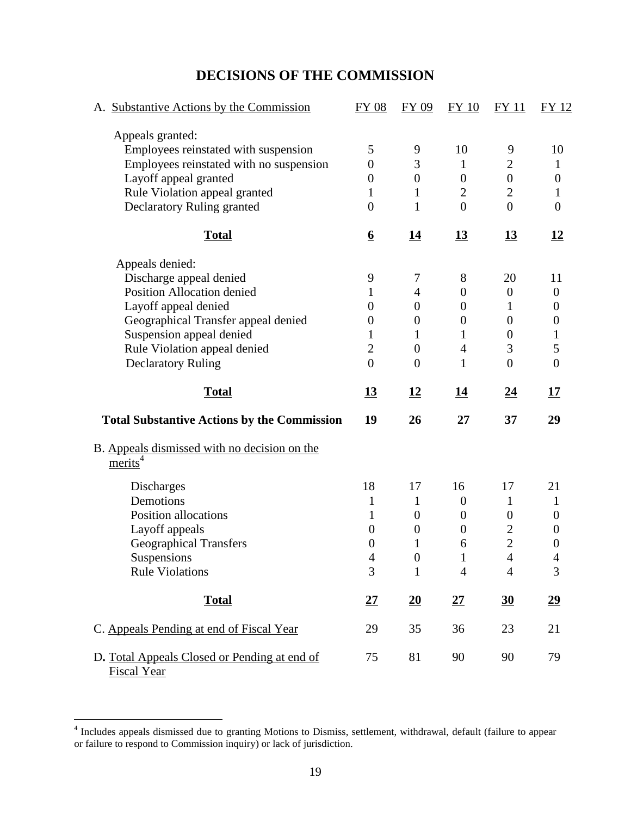# **DECISIONS OF THE COMMISSION**

| A. Substantive Actions by the Commission                           | <b>FY 08</b>     | <b>FY 09</b>     | <b>FY 10</b>     | <b>FY11</b>      | <b>FY 12</b>     |
|--------------------------------------------------------------------|------------------|------------------|------------------|------------------|------------------|
| Appeals granted:                                                   |                  |                  |                  |                  |                  |
| Employees reinstated with suspension                               | 5                | 9                | 10               | 9                | 10               |
| Employees reinstated with no suspension                            | $\boldsymbol{0}$ | 3                | 1                | $\overline{2}$   | $\mathbf{1}$     |
| Layoff appeal granted                                              | $\overline{0}$   | $\boldsymbol{0}$ | $\boldsymbol{0}$ | $\boldsymbol{0}$ | $\boldsymbol{0}$ |
| Rule Violation appeal granted                                      | 1                | 1                | $\overline{2}$   | $\overline{2}$   | 1                |
| Declaratory Ruling granted                                         | $\overline{0}$   | $\mathbf{1}$     | $\overline{0}$   | $\overline{0}$   | $\boldsymbol{0}$ |
| <b>Total</b>                                                       | $6 \overline{6}$ | <u>14</u>        | <u>13</u>        | <u>13</u>        | <u>12</u>        |
| Appeals denied:                                                    |                  |                  |                  |                  |                  |
| Discharge appeal denied                                            | 9                | 7                | 8                | 20               | 11               |
| <b>Position Allocation denied</b>                                  |                  | 4                | $\boldsymbol{0}$ | $\boldsymbol{0}$ | $\boldsymbol{0}$ |
| Layoff appeal denied                                               | $\overline{0}$   | $\overline{0}$   | $\boldsymbol{0}$ | 1                | 0                |
| Geographical Transfer appeal denied                                | $\boldsymbol{0}$ | 0                | $\boldsymbol{0}$ | $\boldsymbol{0}$ | 0                |
| Suspension appeal denied                                           | 1                | 1                | $\mathbf{1}$     | $\boldsymbol{0}$ | 1                |
| Rule Violation appeal denied                                       | $\overline{2}$   | $\boldsymbol{0}$ | $\overline{4}$   | 3                | 5                |
| <b>Declaratory Ruling</b>                                          | $\theta$         | $\overline{0}$   | 1                | $\overline{0}$   | $\overline{0}$   |
| <b>Total</b>                                                       | <u>13</u>        | <u>12</u>        | <u>14</u>        | <u>24</u>        | <u>17</u>        |
| <b>Total Substantive Actions by the Commission</b>                 | 19               | 26               | 27               | 37               | 29               |
| B. Appeals dismissed with no decision on the<br>merits             |                  |                  |                  |                  |                  |
| Discharges                                                         | 18               | 17               | 16               | 17               | 21               |
| Demotions                                                          | 1                | $\mathbf{1}$     | $\overline{0}$   | 1                | 1                |
| Position allocations                                               | 1                | $\boldsymbol{0}$ | $\boldsymbol{0}$ | $\boldsymbol{0}$ | 0                |
| Layoff appeals                                                     | $\boldsymbol{0}$ | $\boldsymbol{0}$ | $\boldsymbol{0}$ | $\mathbf{2}$     | $\boldsymbol{0}$ |
| <b>Geographical Transfers</b>                                      | $\boldsymbol{0}$ | 1                | 6                | $\overline{2}$   | $\boldsymbol{0}$ |
| Suspensions                                                        | 4                | $\boldsymbol{0}$ |                  | $\overline{4}$   | 4                |
| <b>Rule Violations</b>                                             | 3                | $\mathbf{1}$     | $\overline{4}$   | 4                | 3                |
| <b>Total</b>                                                       | 27               | 20               | 27               | $\underline{30}$ | $\underline{29}$ |
| C. Appeals Pending at end of Fiscal Year                           | 29               | 35               | 36               | 23               | 21               |
| D. Total Appeals Closed or Pending at end of<br><b>Fiscal Year</b> | 75               | 81               | 90               | 90               | 79               |

 4 Includes appeals dismissed due to granting Motions to Dismiss, settlement, withdrawal, default (failure to appear or failure to respond to Commission inquiry) or lack of jurisdiction.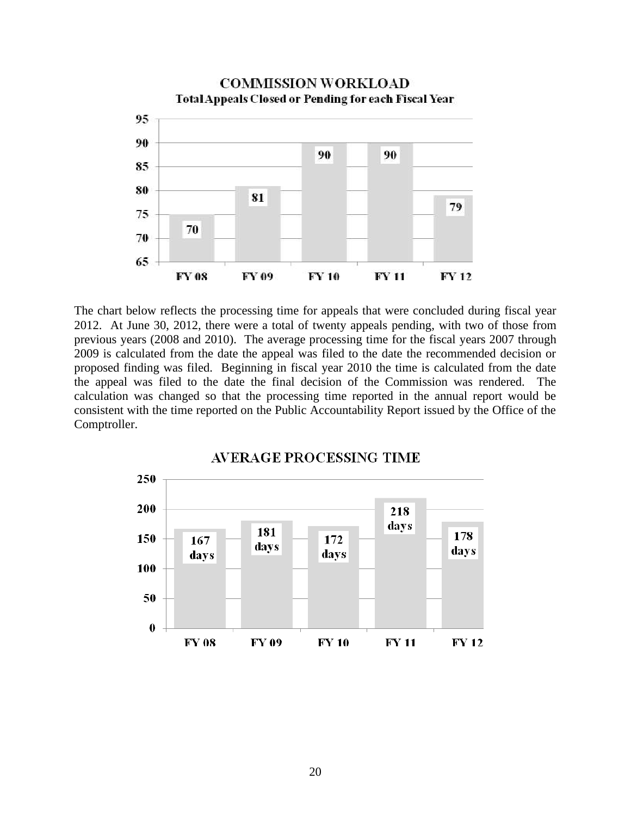

The chart below reflects the processing time for appeals that were concluded during fiscal year 2012. At June 30, 2012, there were a total of twenty appeals pending, with two of those from previous years (2008 and 2010). The average processing time for the fiscal years 2007 through 2009 is calculated from the date the appeal was filed to the date the recommended decision or proposed finding was filed. Beginning in fiscal year 2010 the time is calculated from the date the appeal was filed to the date the final decision of the Commission was rendered. The calculation was changed so that the processing time reported in the annual report would be consistent with the time reported on the Public Accountability Report issued by the Office of the Comptroller.

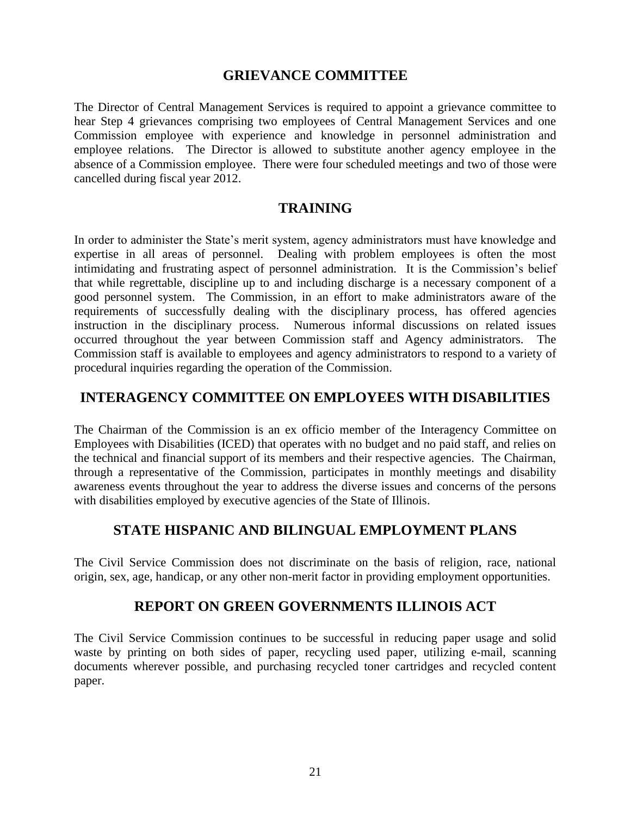#### **GRIEVANCE COMMITTEE**

The Director of Central Management Services is required to appoint a grievance committee to hear Step 4 grievances comprising two employees of Central Management Services and one Commission employee with experience and knowledge in personnel administration and employee relations. The Director is allowed to substitute another agency employee in the absence of a Commission employee. There were four scheduled meetings and two of those were cancelled during fiscal year 2012.

### **TRAINING**

In order to administer the State's merit system, agency administrators must have knowledge and expertise in all areas of personnel. Dealing with problem employees is often the most intimidating and frustrating aspect of personnel administration. It is the Commission's belief that while regrettable, discipline up to and including discharge is a necessary component of a good personnel system. The Commission, in an effort to make administrators aware of the requirements of successfully dealing with the disciplinary process, has offered agencies instruction in the disciplinary process. Numerous informal discussions on related issues occurred throughout the year between Commission staff and Agency administrators. The Commission staff is available to employees and agency administrators to respond to a variety of procedural inquiries regarding the operation of the Commission.

### **INTERAGENCY COMMITTEE ON EMPLOYEES WITH DISABILITIES**

The Chairman of the Commission is an ex officio member of the Interagency Committee on Employees with Disabilities (ICED) that operates with no budget and no paid staff, and relies on the technical and financial support of its members and their respective agencies. The Chairman, through a representative of the Commission, participates in monthly meetings and disability awareness events throughout the year to address the diverse issues and concerns of the persons with disabilities employed by executive agencies of the State of Illinois.

#### **STATE HISPANIC AND BILINGUAL EMPLOYMENT PLANS**

The Civil Service Commission does not discriminate on the basis of religion, race, national origin, sex, age, handicap, or any other non-merit factor in providing employment opportunities.

#### **REPORT ON GREEN GOVERNMENTS ILLINOIS ACT**

The Civil Service Commission continues to be successful in reducing paper usage and solid waste by printing on both sides of paper, recycling used paper, utilizing e-mail, scanning documents wherever possible, and purchasing recycled toner cartridges and recycled content paper.